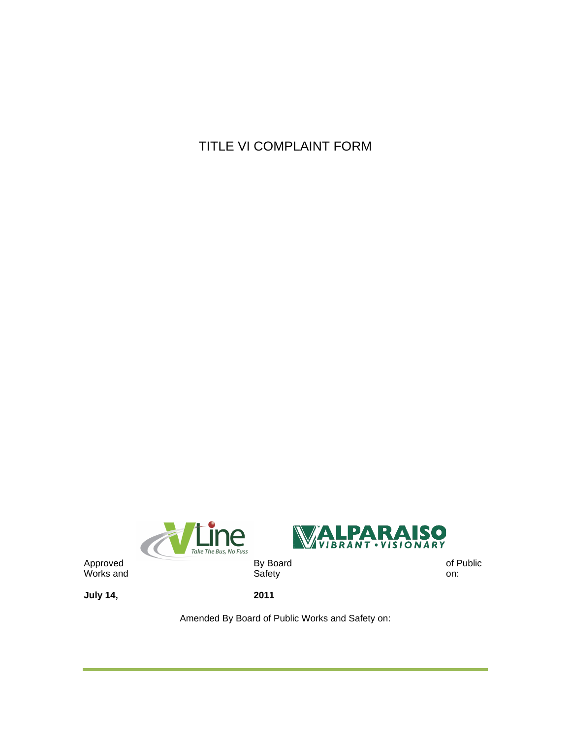TITLE VI COMPLAINT FORM





Works and Safety on:

**July 14, 2011**

Amended By Board of Public Works and Safety on: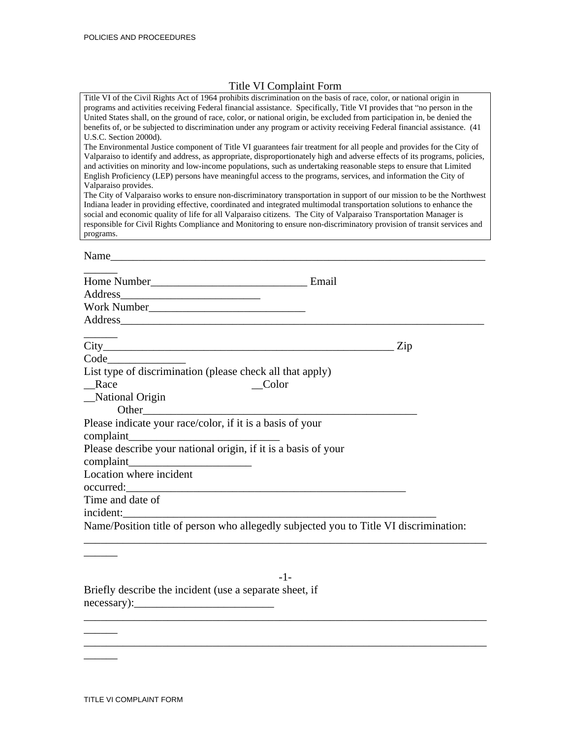## Title VI Complaint Form

| Title VI of the Civil Rights Act of 1964 prohibits discrimination on the basis of race, color, or national origin in<br>programs and activities receiving Federal financial assistance. Specifically, Title VI provides that "no person in the<br>United States shall, on the ground of race, color, or national origin, be excluded from participation in, be denied the<br>benefits of, or be subjected to discrimination under any program or activity receiving Federal financial assistance. (41)<br>U.S.C. Section 2000d).<br>The Environmental Justice component of Title VI guarantees fair treatment for all people and provides for the City of<br>Valparaiso to identify and address, as appropriate, disproportionately high and adverse effects of its programs, policies,<br>and activities on minority and low-income populations, such as undertaking reasonable steps to ensure that Limited<br>English Proficiency (LEP) persons have meaningful access to the programs, services, and information the City of<br>Valparaiso provides.<br>The City of Valparaiso works to ensure non-discriminatory transportation in support of our mission to be the Northwest<br>Indiana leader in providing effective, coordinated and integrated multimodal transportation solutions to enhance the |  |  |  |
|------------------------------------------------------------------------------------------------------------------------------------------------------------------------------------------------------------------------------------------------------------------------------------------------------------------------------------------------------------------------------------------------------------------------------------------------------------------------------------------------------------------------------------------------------------------------------------------------------------------------------------------------------------------------------------------------------------------------------------------------------------------------------------------------------------------------------------------------------------------------------------------------------------------------------------------------------------------------------------------------------------------------------------------------------------------------------------------------------------------------------------------------------------------------------------------------------------------------------------------------------------------------------------------------------------|--|--|--|
| social and economic quality of life for all Valparaiso citizens. The City of Valparaiso Transportation Manager is<br>responsible for Civil Rights Compliance and Monitoring to ensure non-discriminatory provision of transit services and<br>programs.                                                                                                                                                                                                                                                                                                                                                                                                                                                                                                                                                                                                                                                                                                                                                                                                                                                                                                                                                                                                                                                    |  |  |  |
| Name                                                                                                                                                                                                                                                                                                                                                                                                                                                                                                                                                                                                                                                                                                                                                                                                                                                                                                                                                                                                                                                                                                                                                                                                                                                                                                       |  |  |  |
| Home Number<br><u>Email</u>                                                                                                                                                                                                                                                                                                                                                                                                                                                                                                                                                                                                                                                                                                                                                                                                                                                                                                                                                                                                                                                                                                                                                                                                                                                                                |  |  |  |
|                                                                                                                                                                                                                                                                                                                                                                                                                                                                                                                                                                                                                                                                                                                                                                                                                                                                                                                                                                                                                                                                                                                                                                                                                                                                                                            |  |  |  |
|                                                                                                                                                                                                                                                                                                                                                                                                                                                                                                                                                                                                                                                                                                                                                                                                                                                                                                                                                                                                                                                                                                                                                                                                                                                                                                            |  |  |  |
|                                                                                                                                                                                                                                                                                                                                                                                                                                                                                                                                                                                                                                                                                                                                                                                                                                                                                                                                                                                                                                                                                                                                                                                                                                                                                                            |  |  |  |
|                                                                                                                                                                                                                                                                                                                                                                                                                                                                                                                                                                                                                                                                                                                                                                                                                                                                                                                                                                                                                                                                                                                                                                                                                                                                                                            |  |  |  |
| Zip                                                                                                                                                                                                                                                                                                                                                                                                                                                                                                                                                                                                                                                                                                                                                                                                                                                                                                                                                                                                                                                                                                                                                                                                                                                                                                        |  |  |  |
| Code                                                                                                                                                                                                                                                                                                                                                                                                                                                                                                                                                                                                                                                                                                                                                                                                                                                                                                                                                                                                                                                                                                                                                                                                                                                                                                       |  |  |  |
| List type of discrimination (please check all that apply)                                                                                                                                                                                                                                                                                                                                                                                                                                                                                                                                                                                                                                                                                                                                                                                                                                                                                                                                                                                                                                                                                                                                                                                                                                                  |  |  |  |
| Race<br>Color                                                                                                                                                                                                                                                                                                                                                                                                                                                                                                                                                                                                                                                                                                                                                                                                                                                                                                                                                                                                                                                                                                                                                                                                                                                                                              |  |  |  |
| _National Origin                                                                                                                                                                                                                                                                                                                                                                                                                                                                                                                                                                                                                                                                                                                                                                                                                                                                                                                                                                                                                                                                                                                                                                                                                                                                                           |  |  |  |
| Please indicate your race/color, if it is a basis of your<br>complaint                                                                                                                                                                                                                                                                                                                                                                                                                                                                                                                                                                                                                                                                                                                                                                                                                                                                                                                                                                                                                                                                                                                                                                                                                                     |  |  |  |
| Please describe your national origin, if it is a basis of your                                                                                                                                                                                                                                                                                                                                                                                                                                                                                                                                                                                                                                                                                                                                                                                                                                                                                                                                                                                                                                                                                                                                                                                                                                             |  |  |  |
|                                                                                                                                                                                                                                                                                                                                                                                                                                                                                                                                                                                                                                                                                                                                                                                                                                                                                                                                                                                                                                                                                                                                                                                                                                                                                                            |  |  |  |
| Location where incident<br>occurred:                                                                                                                                                                                                                                                                                                                                                                                                                                                                                                                                                                                                                                                                                                                                                                                                                                                                                                                                                                                                                                                                                                                                                                                                                                                                       |  |  |  |
| Time and date of                                                                                                                                                                                                                                                                                                                                                                                                                                                                                                                                                                                                                                                                                                                                                                                                                                                                                                                                                                                                                                                                                                                                                                                                                                                                                           |  |  |  |
| incident:                                                                                                                                                                                                                                                                                                                                                                                                                                                                                                                                                                                                                                                                                                                                                                                                                                                                                                                                                                                                                                                                                                                                                                                                                                                                                                  |  |  |  |
| Name/Position title of person who allegedly subjected you to Title VI discrimination:                                                                                                                                                                                                                                                                                                                                                                                                                                                                                                                                                                                                                                                                                                                                                                                                                                                                                                                                                                                                                                                                                                                                                                                                                      |  |  |  |

-1- Briefly describe the incident (use a separate sheet, if necessary):\_\_\_\_\_\_\_\_\_\_\_\_\_\_\_\_\_\_\_\_\_\_\_\_\_  $\frac{1}{2}$  ,  $\frac{1}{2}$  ,  $\frac{1}{2}$  ,  $\frac{1}{2}$  ,  $\frac{1}{2}$  ,  $\frac{1}{2}$  ,  $\frac{1}{2}$  ,  $\frac{1}{2}$  ,  $\frac{1}{2}$  ,  $\frac{1}{2}$  ,  $\frac{1}{2}$  ,  $\frac{1}{2}$  ,  $\frac{1}{2}$  ,  $\frac{1}{2}$  ,  $\frac{1}{2}$  ,  $\frac{1}{2}$  ,  $\frac{1}{2}$  ,  $\frac{1}{2}$  ,  $\frac{1$ 

\_\_\_\_\_\_

 $\overline{\phantom{a}}$ 

 $\overline{\phantom{a}}$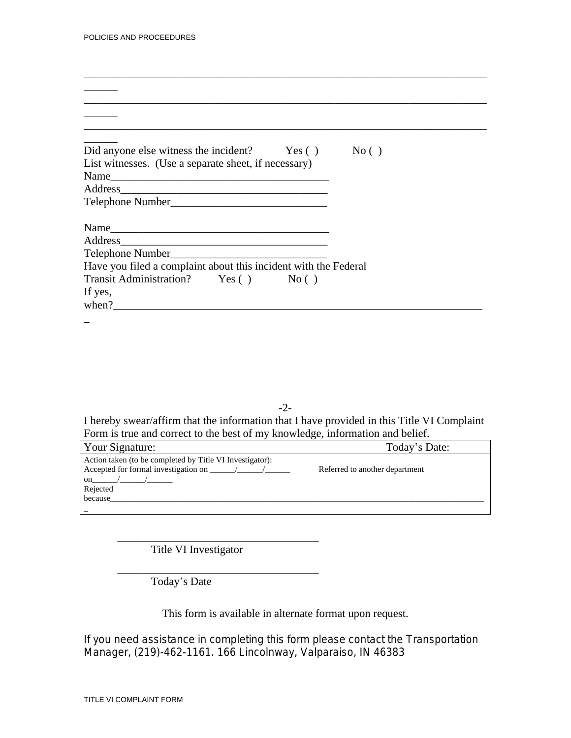| Did anyone else witness the incident? Yes () No ()              |  |
|-----------------------------------------------------------------|--|
| List witnesses. (Use a separate sheet, if necessary)            |  |
|                                                                 |  |
|                                                                 |  |
|                                                                 |  |
|                                                                 |  |
| Name                                                            |  |
| Address                                                         |  |
| Have you filed a complaint about this incident with the Federal |  |
| Transit Administration? Yes () No ()                            |  |
| If yes,                                                         |  |
| when?                                                           |  |
|                                                                 |  |

\_\_\_\_\_\_\_\_\_\_\_\_\_\_\_\_\_\_\_\_\_\_\_\_\_\_\_\_\_\_\_\_\_\_\_\_\_\_\_\_\_\_\_\_\_\_\_\_\_\_\_\_\_\_\_\_\_\_\_\_\_\_\_\_\_\_\_\_\_\_\_\_

-2-

I hereby swear/affirm that the information that I have provided in this Title VI Complaint Form is true and correct to the best of my knowledge, information and belief.

| Your Signature:                                           | Today's Date:                  |
|-----------------------------------------------------------|--------------------------------|
| Action taken (to be completed by Title VI Investigator):  |                                |
| Accepted for formal investigation on $\frac{\sqrt{2}}{2}$ | Referred to another department |
| on $/$ /                                                  |                                |
| Rejected                                                  |                                |
| because                                                   |                                |
|                                                           |                                |

\_\_\_\_\_\_\_\_\_\_\_\_\_\_\_\_\_\_\_\_\_\_\_\_\_\_\_\_\_\_\_\_\_\_\_\_\_\_\_\_\_\_\_\_\_\_\_\_ Title VI Investigator

\_\_\_\_\_\_\_\_\_\_\_\_\_\_\_\_\_\_\_\_\_\_\_\_\_\_\_\_\_\_\_\_\_\_\_\_\_\_\_\_\_\_\_\_\_\_\_\_ Today's Date

This form is available in alternate format upon request.

If you need assistance in completing this form please contact the Transportation Manager, (219)-462-1161. 166 Lincolnway, Valparaiso, IN 46383